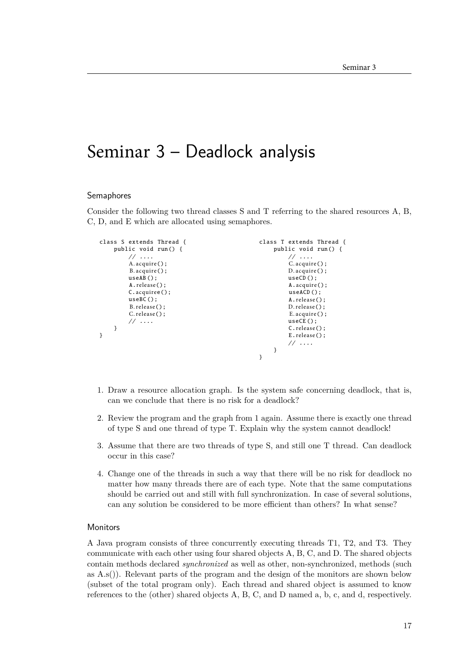## Seminar 3 – Deadlock analysis

## Semaphores

Consider the following two thread classes S and T referring to the shared resources A, B, C, D, and E which are allocated using semaphores.

```
class S extends Thread {
    public void run() {
         // ....
         A.acquire();
         B.acquire();
         useAB();
         A.release();
         C.acquiree():
         useBC ();
         B.release();
         C.release():
         // ....
    }
}
                                                   class T extends Thread {
                                                       public void run() {
                                                           // ....
                                                            C.acquire();
                                                            D.acquire();
                                                            useCD();
                                                            A.acquire();
                                                            useACD():
                                                            A.release();
                                                            D.release();
                                                            E.acquire():
                                                            useCE():
                                                            C.release();
                                                            E.release();
                                                            // ....
                                                       }
                                                  }
```
- 1. Draw a resource allocation graph. Is the system safe concerning deadlock, that is, can we conclude that there is no risk for a deadlock?
- 2. Review the program and the graph from 1 again. Assume there is exactly one thread of type S and one thread of type T. Explain why the system cannot deadlock!
- 3. Assume that there are two threads of type S, and still one T thread. Can deadlock occur in this case?
- 4. Change one of the threads in such a way that there will be no risk for deadlock no matter how many threads there are of each type. Note that the same computations should be carried out and still with full synchronization. In case of several solutions, can any solution be considered to be more efficient than others? In what sense?

## **Monitors**

A Java program consists of three concurrently executing threads T1, T2, and T3. They communicate with each other using four shared objects A, B, C, and D. The shared objects contain methods declared *synchronized* as well as other, non-synchronized, methods (such as A.s()). Relevant parts of the program and the design of the monitors are shown below (subset of the total program only). Each thread and shared object is assumed to know references to the (other) shared objects A, B, C, and D named a, b, c, and d, respectively.